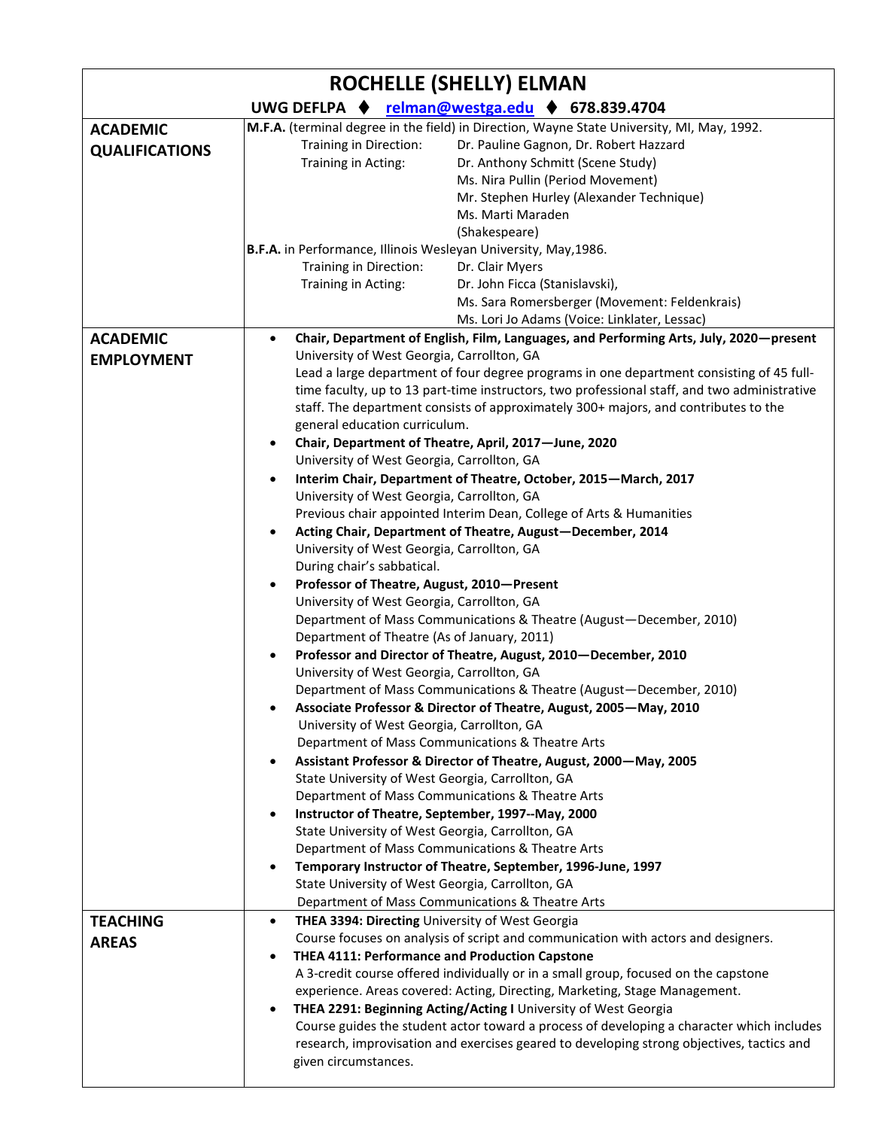| <b>ROCHELLE (SHELLY) ELMAN</b>  |                                                                                                                                                                                                                                                                                                                                                                                                                                                                                                                                                                                                                                                                                                                                                                                                                                                                                                                                                                                                                                                                                                                                                                                                                                                                                                                                                                                                                                                                                                                                                                                                                                                                                                                                                                                                                                                                  |
|---------------------------------|------------------------------------------------------------------------------------------------------------------------------------------------------------------------------------------------------------------------------------------------------------------------------------------------------------------------------------------------------------------------------------------------------------------------------------------------------------------------------------------------------------------------------------------------------------------------------------------------------------------------------------------------------------------------------------------------------------------------------------------------------------------------------------------------------------------------------------------------------------------------------------------------------------------------------------------------------------------------------------------------------------------------------------------------------------------------------------------------------------------------------------------------------------------------------------------------------------------------------------------------------------------------------------------------------------------------------------------------------------------------------------------------------------------------------------------------------------------------------------------------------------------------------------------------------------------------------------------------------------------------------------------------------------------------------------------------------------------------------------------------------------------------------------------------------------------------------------------------------------------|
|                                 | UWG DEFLPA ← relman@westga.edu ← 678.839.4704                                                                                                                                                                                                                                                                                                                                                                                                                                                                                                                                                                                                                                                                                                                                                                                                                                                                                                                                                                                                                                                                                                                                                                                                                                                                                                                                                                                                                                                                                                                                                                                                                                                                                                                                                                                                                    |
| <b>ACADEMIC</b>                 | M.F.A. (terminal degree in the field) in Direction, Wayne State University, MI, May, 1992.                                                                                                                                                                                                                                                                                                                                                                                                                                                                                                                                                                                                                                                                                                                                                                                                                                                                                                                                                                                                                                                                                                                                                                                                                                                                                                                                                                                                                                                                                                                                                                                                                                                                                                                                                                       |
| <b>QUALIFICATIONS</b>           | Training in Direction:<br>Dr. Pauline Gagnon, Dr. Robert Hazzard<br>Training in Acting:<br>Dr. Anthony Schmitt (Scene Study)<br>Ms. Nira Pullin (Period Movement)<br>Mr. Stephen Hurley (Alexander Technique)<br>Ms. Marti Maraden<br>(Shakespeare)                                                                                                                                                                                                                                                                                                                                                                                                                                                                                                                                                                                                                                                                                                                                                                                                                                                                                                                                                                                                                                                                                                                                                                                                                                                                                                                                                                                                                                                                                                                                                                                                              |
|                                 | B.F.A. in Performance, Illinois Wesleyan University, May, 1986.<br>Dr. Clair Myers<br>Training in Direction:<br>Training in Acting:<br>Dr. John Ficca (Stanislavski),<br>Ms. Sara Romersberger (Movement: Feldenkrais)<br>Ms. Lori Jo Adams (Voice: Linklater, Lessac)                                                                                                                                                                                                                                                                                                                                                                                                                                                                                                                                                                                                                                                                                                                                                                                                                                                                                                                                                                                                                                                                                                                                                                                                                                                                                                                                                                                                                                                                                                                                                                                           |
| <b>ACADEMIC</b>                 | Chair, Department of English, Film, Languages, and Performing Arts, July, 2020–present<br>$\bullet$                                                                                                                                                                                                                                                                                                                                                                                                                                                                                                                                                                                                                                                                                                                                                                                                                                                                                                                                                                                                                                                                                                                                                                                                                                                                                                                                                                                                                                                                                                                                                                                                                                                                                                                                                              |
| <b>EMPLOYMENT</b>               | University of West Georgia, Carrollton, GA<br>Lead a large department of four degree programs in one department consisting of 45 full-<br>time faculty, up to 13 part-time instructors, two professional staff, and two administrative<br>staff. The department consists of approximately 300+ majors, and contributes to the<br>general education curriculum.<br>Chair, Department of Theatre, April, 2017-June, 2020<br>University of West Georgia, Carrollton, GA<br>Interim Chair, Department of Theatre, October, 2015-March, 2017<br>University of West Georgia, Carrollton, GA<br>Previous chair appointed Interim Dean, College of Arts & Humanities<br>Acting Chair, Department of Theatre, August-December, 2014<br>University of West Georgia, Carrollton, GA<br>During chair's sabbatical.<br>Professor of Theatre, August, 2010-Present<br>$\bullet$<br>University of West Georgia, Carrollton, GA<br>Department of Mass Communications & Theatre (August-December, 2010)<br>Department of Theatre (As of January, 2011)<br>Professor and Director of Theatre, August, 2010-December, 2010<br>University of West Georgia, Carrollton, GA<br>Department of Mass Communications & Theatre (August-December, 2010)<br>Associate Professor & Director of Theatre, August, 2005-May, 2010<br>University of West Georgia, Carrollton, GA<br>Department of Mass Communications & Theatre Arts<br>Assistant Professor & Director of Theatre, August, 2000-May, 2005<br>State University of West Georgia, Carrollton, GA<br>Department of Mass Communications & Theatre Arts<br>Instructor of Theatre, September, 1997--May, 2000<br>State University of West Georgia, Carrollton, GA<br>Department of Mass Communications & Theatre Arts<br>Temporary Instructor of Theatre, September, 1996-June, 1997<br>State University of West Georgia, Carrollton, GA |
|                                 | Department of Mass Communications & Theatre Arts                                                                                                                                                                                                                                                                                                                                                                                                                                                                                                                                                                                                                                                                                                                                                                                                                                                                                                                                                                                                                                                                                                                                                                                                                                                                                                                                                                                                                                                                                                                                                                                                                                                                                                                                                                                                                 |
| <b>TEACHING</b><br><b>AREAS</b> | THEA 3394: Directing University of West Georgia<br>$\bullet$<br>Course focuses on analysis of script and communication with actors and designers.<br>THEA 4111: Performance and Production Capstone<br>A 3-credit course offered individually or in a small group, focused on the capstone<br>experience. Areas covered: Acting, Directing, Marketing, Stage Management.<br>THEA 2291: Beginning Acting/Acting I University of West Georgia<br>Course guides the student actor toward a process of developing a character which includes<br>research, improvisation and exercises geared to developing strong objectives, tactics and<br>given circumstances.                                                                                                                                                                                                                                                                                                                                                                                                                                                                                                                                                                                                                                                                                                                                                                                                                                                                                                                                                                                                                                                                                                                                                                                                    |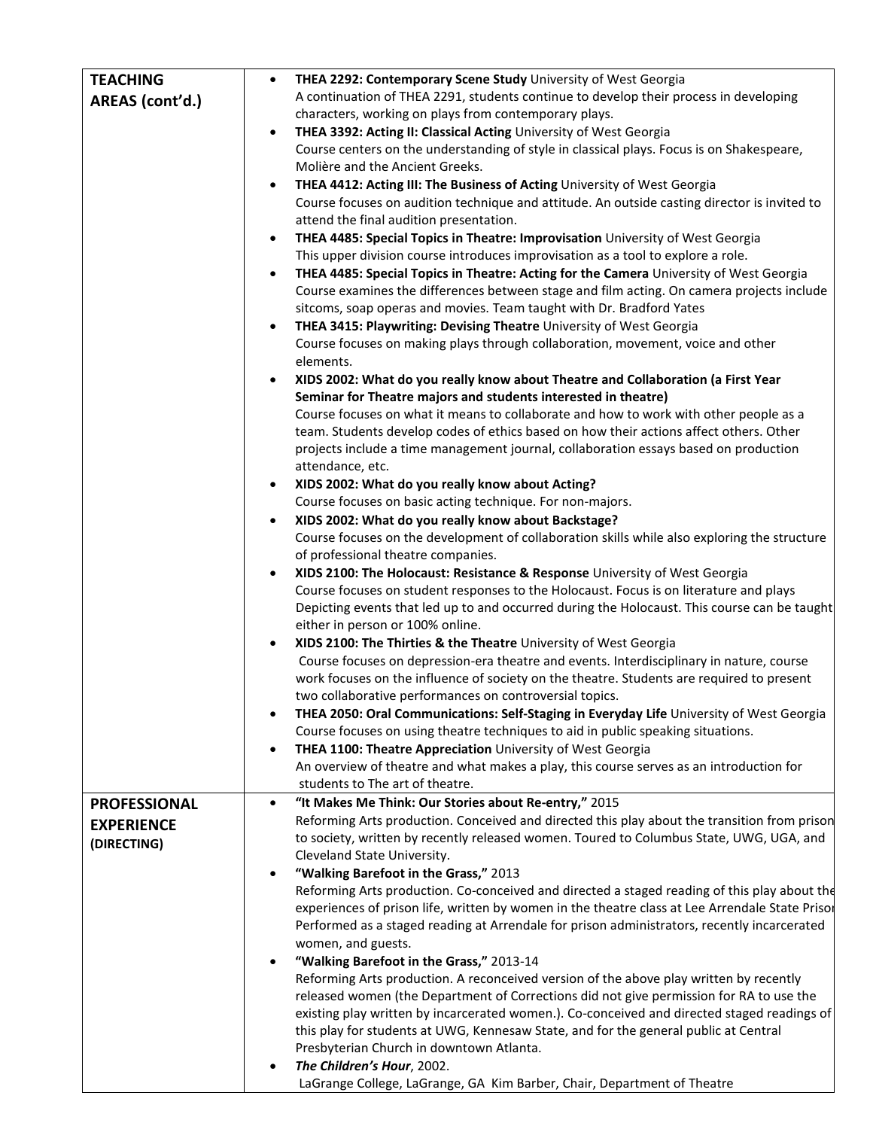| <b>TEACHING</b>     | THEA 2292: Contemporary Scene Study University of West Georgia<br>$\bullet$                                                                                               |
|---------------------|---------------------------------------------------------------------------------------------------------------------------------------------------------------------------|
| AREAS (cont'd.)     | A continuation of THEA 2291, students continue to develop their process in developing                                                                                     |
|                     | characters, working on plays from contemporary plays.                                                                                                                     |
|                     | THEA 3392: Acting II: Classical Acting University of West Georgia<br>$\bullet$                                                                                            |
|                     | Course centers on the understanding of style in classical plays. Focus is on Shakespeare,                                                                                 |
|                     | Molière and the Ancient Greeks.                                                                                                                                           |
|                     | THEA 4412: Acting III: The Business of Acting University of West Georgia<br>$\bullet$                                                                                     |
|                     | Course focuses on audition technique and attitude. An outside casting director is invited to                                                                              |
|                     | attend the final audition presentation.                                                                                                                                   |
|                     | THEA 4485: Special Topics in Theatre: Improvisation University of West Georgia                                                                                            |
|                     | This upper division course introduces improvisation as a tool to explore a role.                                                                                          |
|                     | THEA 4485: Special Topics in Theatre: Acting for the Camera University of West Georgia                                                                                    |
|                     | Course examines the differences between stage and film acting. On camera projects include                                                                                 |
|                     | sitcoms, soap operas and movies. Team taught with Dr. Bradford Yates                                                                                                      |
|                     | THEA 3415: Playwriting: Devising Theatre University of West Georgia                                                                                                       |
|                     | Course focuses on making plays through collaboration, movement, voice and other<br>elements.                                                                              |
|                     | XIDS 2002: What do you really know about Theatre and Collaboration (a First Year                                                                                          |
|                     | Seminar for Theatre majors and students interested in theatre)                                                                                                            |
|                     | Course focuses on what it means to collaborate and how to work with other people as a                                                                                     |
|                     | team. Students develop codes of ethics based on how their actions affect others. Other                                                                                    |
|                     | projects include a time management journal, collaboration essays based on production                                                                                      |
|                     | attendance, etc.                                                                                                                                                          |
|                     | XIDS 2002: What do you really know about Acting?<br>$\bullet$                                                                                                             |
|                     | Course focuses on basic acting technique. For non-majors.                                                                                                                 |
|                     | XIDS 2002: What do you really know about Backstage?                                                                                                                       |
|                     | Course focuses on the development of collaboration skills while also exploring the structure                                                                              |
|                     | of professional theatre companies.                                                                                                                                        |
|                     | XIDS 2100: The Holocaust: Resistance & Response University of West Georgia<br>$\bullet$                                                                                   |
|                     | Course focuses on student responses to the Holocaust. Focus is on literature and plays                                                                                    |
|                     | Depicting events that led up to and occurred during the Holocaust. This course can be taught                                                                              |
|                     | either in person or 100% online.                                                                                                                                          |
|                     | XIDS 2100: The Thirties & the Theatre University of West Georgia<br>$\bullet$<br>Course focuses on depression-era theatre and events. Interdisciplinary in nature, course |
|                     | work focuses on the influence of society on the theatre. Students are required to present                                                                                 |
|                     | two collaborative performances on controversial topics.                                                                                                                   |
|                     | THEA 2050: Oral Communications: Self-Staging in Everyday Life University of West Georgia                                                                                  |
|                     | Course focuses on using theatre techniques to aid in public speaking situations.                                                                                          |
|                     | THEA 1100: Theatre Appreciation University of West Georgia                                                                                                                |
|                     | An overview of theatre and what makes a play, this course serves as an introduction for                                                                                   |
|                     | students to The art of theatre.                                                                                                                                           |
| <b>PROFESSIONAL</b> | "It Makes Me Think: Our Stories about Re-entry," 2015<br>$\bullet$                                                                                                        |
| <b>EXPERIENCE</b>   | Reforming Arts production. Conceived and directed this play about the transition from prison                                                                              |
| (DIRECTING)         | to society, written by recently released women. Toured to Columbus State, UWG, UGA, and                                                                                   |
|                     | Cleveland State University.                                                                                                                                               |
|                     | "Walking Barefoot in the Grass," 2013<br>$\bullet$                                                                                                                        |
|                     | Reforming Arts production. Co-conceived and directed a staged reading of this play about the                                                                              |
|                     | experiences of prison life, written by women in the theatre class at Lee Arrendale State Prisor                                                                           |
|                     | Performed as a staged reading at Arrendale for prison administrators, recently incarcerated                                                                               |
|                     | women, and guests.                                                                                                                                                        |
|                     | "Walking Barefoot in the Grass," 2013-14                                                                                                                                  |
|                     | Reforming Arts production. A reconceived version of the above play written by recently                                                                                    |
|                     | released women (the Department of Corrections did not give permission for RA to use the                                                                                   |
|                     | existing play written by incarcerated women.). Co-conceived and directed staged readings of                                                                               |
|                     | this play for students at UWG, Kennesaw State, and for the general public at Central                                                                                      |
|                     | Presbyterian Church in downtown Atlanta.                                                                                                                                  |
|                     | The Children's Hour, 2002.                                                                                                                                                |
|                     | LaGrange College, LaGrange, GA Kim Barber, Chair, Department of Theatre                                                                                                   |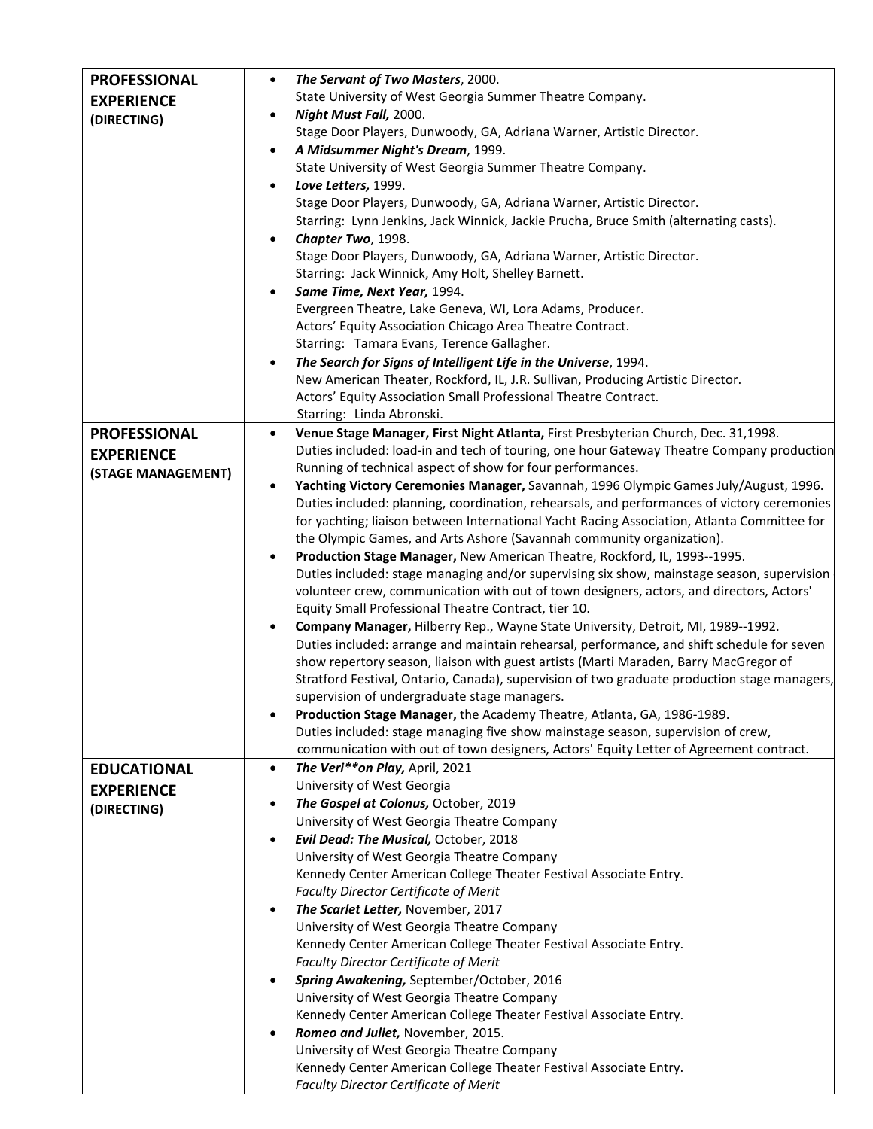| <b>PROFESSIONAL</b> | The Servant of Two Masters, 2000.<br>$\bullet$                                                                  |
|---------------------|-----------------------------------------------------------------------------------------------------------------|
| <b>EXPERIENCE</b>   | State University of West Georgia Summer Theatre Company.                                                        |
|                     | Night Must Fall, 2000.<br>$\bullet$                                                                             |
| (DIRECTING)         | Stage Door Players, Dunwoody, GA, Adriana Warner, Artistic Director.                                            |
|                     | A Midsummer Night's Dream, 1999.<br>$\bullet$                                                                   |
|                     | State University of West Georgia Summer Theatre Company.                                                        |
|                     | Love Letters, 1999.<br>$\bullet$                                                                                |
|                     | Stage Door Players, Dunwoody, GA, Adriana Warner, Artistic Director.                                            |
|                     | Starring: Lynn Jenkins, Jack Winnick, Jackie Prucha, Bruce Smith (alternating casts).                           |
|                     | Chapter Two, 1998.<br>$\bullet$                                                                                 |
|                     | Stage Door Players, Dunwoody, GA, Adriana Warner, Artistic Director.                                            |
|                     | Starring: Jack Winnick, Amy Holt, Shelley Barnett.                                                              |
|                     | Same Time, Next Year, 1994.<br>$\bullet$                                                                        |
|                     | Evergreen Theatre, Lake Geneva, WI, Lora Adams, Producer.                                                       |
|                     | Actors' Equity Association Chicago Area Theatre Contract.                                                       |
|                     | Starring: Tamara Evans, Terence Gallagher.                                                                      |
|                     | The Search for Signs of Intelligent Life in the Universe, 1994.<br>$\bullet$                                    |
|                     | New American Theater, Rockford, IL, J.R. Sullivan, Producing Artistic Director.                                 |
|                     | Actors' Equity Association Small Professional Theatre Contract.                                                 |
|                     | Starring: Linda Abronski.                                                                                       |
| <b>PROFESSIONAL</b> | Venue Stage Manager, First Night Atlanta, First Presbyterian Church, Dec. 31,1998.<br>$\bullet$                 |
| <b>EXPERIENCE</b>   | Duties included: load-in and tech of touring, one hour Gateway Theatre Company production                       |
| (STAGE MANAGEMENT)  | Running of technical aspect of show for four performances.                                                      |
|                     | Yachting Victory Ceremonies Manager, Savannah, 1996 Olympic Games July/August, 1996.<br>٠                       |
|                     | Duties included: planning, coordination, rehearsals, and performances of victory ceremonies                     |
|                     | for yachting; liaison between International Yacht Racing Association, Atlanta Committee for                     |
|                     | the Olympic Games, and Arts Ashore (Savannah community organization).                                           |
|                     | Production Stage Manager, New American Theatre, Rockford, IL, 1993--1995.<br>$\bullet$                          |
|                     | Duties included: stage managing and/or supervising six show, mainstage season, supervision                      |
|                     | volunteer crew, communication with out of town designers, actors, and directors, Actors'                        |
|                     | Equity Small Professional Theatre Contract, tier 10.                                                            |
|                     | Company Manager, Hilberry Rep., Wayne State University, Detroit, MI, 1989--1992.<br>$\bullet$                   |
|                     | Duties included: arrange and maintain rehearsal, performance, and shift schedule for seven                      |
|                     | show repertory season, liaison with guest artists (Marti Maraden, Barry MacGregor of                            |
|                     | Stratford Festival, Ontario, Canada), supervision of two graduate production stage managers,                    |
|                     | supervision of undergraduate stage managers.                                                                    |
|                     | Production Stage Manager, the Academy Theatre, Atlanta, GA, 1986-1989.                                          |
|                     | Duties included: stage managing five show mainstage season, supervision of crew,                                |
|                     | communication with out of town designers, Actors' Equity Letter of Agreement contract.                          |
| <b>EDUCATIONAL</b>  | The Veri**on Play, April, 2021<br>$\bullet$                                                                     |
| <b>EXPERIENCE</b>   | University of West Georgia                                                                                      |
| (DIRECTING)         | The Gospel at Colonus, October, 2019<br>٠                                                                       |
|                     | University of West Georgia Theatre Company                                                                      |
|                     | Evil Dead: The Musical, October, 2018<br>$\bullet$                                                              |
|                     | University of West Georgia Theatre Company<br>Kennedy Center American College Theater Festival Associate Entry. |
|                     | Faculty Director Certificate of Merit                                                                           |
|                     | The Scarlet Letter, November, 2017<br>$\bullet$                                                                 |
|                     | University of West Georgia Theatre Company                                                                      |
|                     | Kennedy Center American College Theater Festival Associate Entry.                                               |
|                     | <b>Faculty Director Certificate of Merit</b>                                                                    |
|                     | Spring Awakening, September/October, 2016<br>٠                                                                  |
|                     | University of West Georgia Theatre Company                                                                      |
|                     | Kennedy Center American College Theater Festival Associate Entry.                                               |
|                     | Romeo and Juliet, November, 2015.                                                                               |
|                     | University of West Georgia Theatre Company                                                                      |
|                     | Kennedy Center American College Theater Festival Associate Entry.                                               |
|                     | Faculty Director Certificate of Merit                                                                           |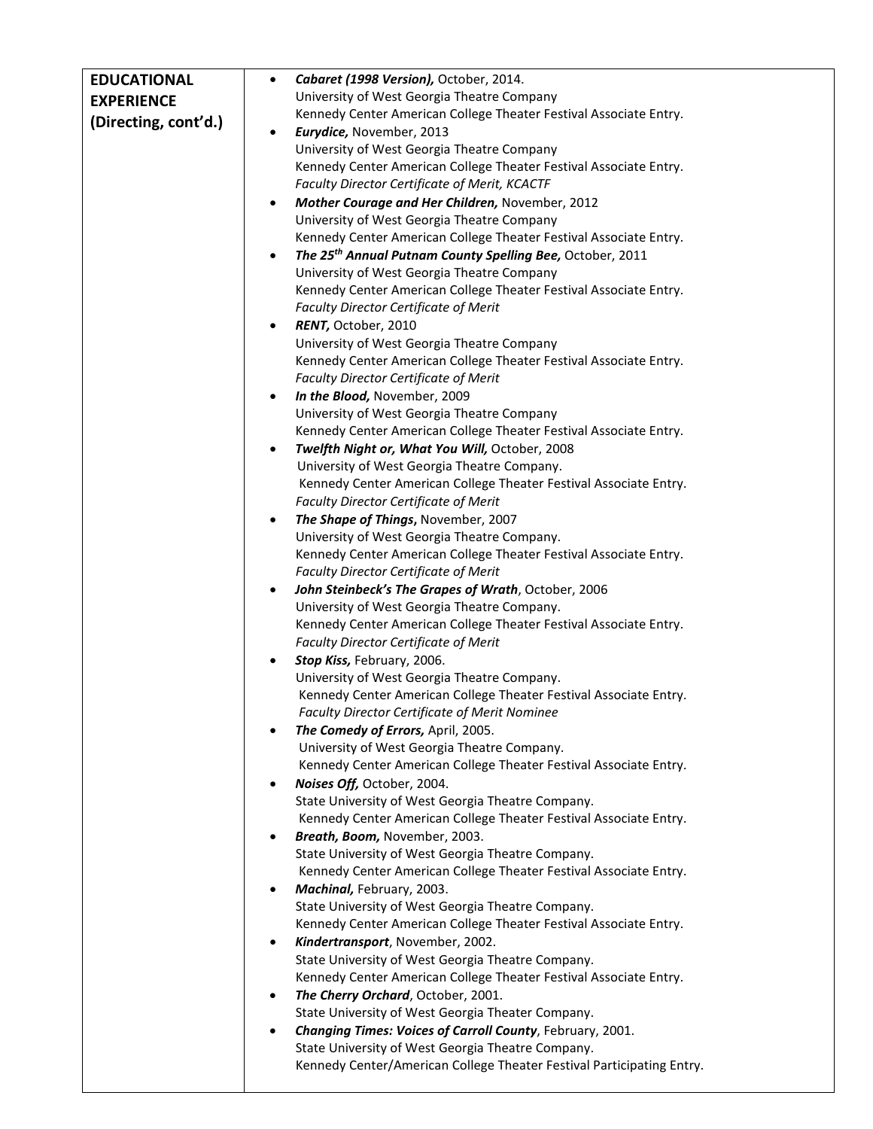| <b>EDUCATIONAL</b>   | Cabaret (1998 Version), October, 2014.<br>$\bullet$                                                              |
|----------------------|------------------------------------------------------------------------------------------------------------------|
| <b>EXPERIENCE</b>    | University of West Georgia Theatre Company                                                                       |
|                      | Kennedy Center American College Theater Festival Associate Entry.                                                |
| (Directing, cont'd.) | Eurydice, November, 2013<br>$\bullet$                                                                            |
|                      | University of West Georgia Theatre Company                                                                       |
|                      | Kennedy Center American College Theater Festival Associate Entry.                                                |
|                      | Faculty Director Certificate of Merit, KCACTF                                                                    |
|                      | Mother Courage and Her Children, November, 2012                                                                  |
|                      | University of West Georgia Theatre Company                                                                       |
|                      | Kennedy Center American College Theater Festival Associate Entry.                                                |
|                      | The 25 <sup>th</sup> Annual Putnam County Spelling Bee, October, 2011                                            |
|                      | University of West Georgia Theatre Company                                                                       |
|                      | Kennedy Center American College Theater Festival Associate Entry.                                                |
|                      | <b>Faculty Director Certificate of Merit</b>                                                                     |
|                      | RENT, October, 2010<br>$\bullet$                                                                                 |
|                      | University of West Georgia Theatre Company                                                                       |
|                      | Kennedy Center American College Theater Festival Associate Entry.                                                |
|                      | <b>Faculty Director Certificate of Merit</b>                                                                     |
|                      | In the Blood, November, 2009<br>$\bullet$                                                                        |
|                      | University of West Georgia Theatre Company                                                                       |
|                      | Kennedy Center American College Theater Festival Associate Entry.                                                |
|                      | Twelfth Night or, What You Will, October, 2008<br>$\bullet$                                                      |
|                      | University of West Georgia Theatre Company.                                                                      |
|                      | Kennedy Center American College Theater Festival Associate Entry.                                                |
|                      | <b>Faculty Director Certificate of Merit</b>                                                                     |
|                      | The Shape of Things, November, 2007                                                                              |
|                      | University of West Georgia Theatre Company.                                                                      |
|                      | Kennedy Center American College Theater Festival Associate Entry.                                                |
|                      | Faculty Director Certificate of Merit                                                                            |
|                      | John Steinbeck's The Grapes of Wrath, October, 2006                                                              |
|                      | University of West Georgia Theatre Company.<br>Kennedy Center American College Theater Festival Associate Entry. |
|                      | Faculty Director Certificate of Merit                                                                            |
|                      | Stop Kiss, February, 2006.                                                                                       |
|                      | University of West Georgia Theatre Company.                                                                      |
|                      | Kennedy Center American College Theater Festival Associate Entry.                                                |
|                      | Faculty Director Certificate of Merit Nominee                                                                    |
|                      | The Comedy of Errors, April, 2005.<br>$\bullet$                                                                  |
|                      | University of West Georgia Theatre Company.                                                                      |
|                      | Kennedy Center American College Theater Festival Associate Entry.                                                |
|                      | Noises Off, October, 2004.<br>$\bullet$                                                                          |
|                      | State University of West Georgia Theatre Company.                                                                |
|                      | Kennedy Center American College Theater Festival Associate Entry.                                                |
|                      | Breath, Boom, November, 2003.                                                                                    |
|                      | State University of West Georgia Theatre Company.                                                                |
|                      | Kennedy Center American College Theater Festival Associate Entry.                                                |
|                      | Machinal, February, 2003.                                                                                        |
|                      | State University of West Georgia Theatre Company.                                                                |
|                      | Kennedy Center American College Theater Festival Associate Entry.                                                |
|                      | Kindertransport, November, 2002.                                                                                 |
|                      | State University of West Georgia Theatre Company.                                                                |
|                      | Kennedy Center American College Theater Festival Associate Entry.                                                |
|                      | The Cherry Orchard, October, 2001.<br>$\bullet$                                                                  |
|                      | State University of West Georgia Theater Company.                                                                |
|                      | Changing Times: Voices of Carroll County, February, 2001.<br>$\bullet$                                           |
|                      | State University of West Georgia Theatre Company.                                                                |
|                      | Kennedy Center/American College Theater Festival Participating Entry.                                            |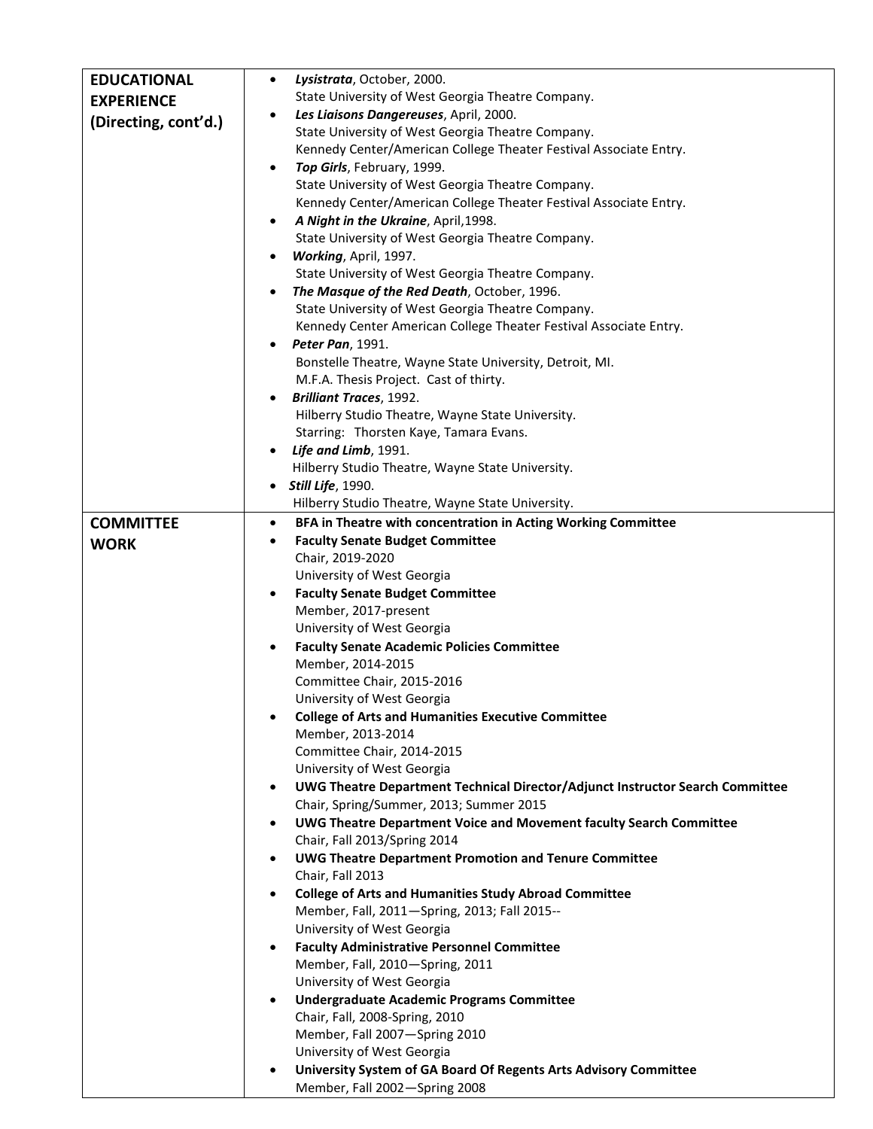| <b>EDUCATIONAL</b>   | Lysistrata, October, 2000.<br>$\bullet$                                                       |
|----------------------|-----------------------------------------------------------------------------------------------|
| <b>EXPERIENCE</b>    | State University of West Georgia Theatre Company.                                             |
|                      | Les Liaisons Dangereuses, April, 2000.<br>$\bullet$                                           |
| (Directing, cont'd.) | State University of West Georgia Theatre Company.                                             |
|                      | Kennedy Center/American College Theater Festival Associate Entry.                             |
|                      | Top Girls, February, 1999.<br>$\bullet$                                                       |
|                      | State University of West Georgia Theatre Company.                                             |
|                      | Kennedy Center/American College Theater Festival Associate Entry.                             |
|                      | A Night in the Ukraine, April, 1998.<br>٠                                                     |
|                      | State University of West Georgia Theatre Company.                                             |
|                      | Working, April, 1997.<br>$\bullet$                                                            |
|                      | State University of West Georgia Theatre Company.                                             |
|                      | The Masque of the Red Death, October, 1996.                                                   |
|                      | State University of West Georgia Theatre Company.                                             |
|                      | Kennedy Center American College Theater Festival Associate Entry.                             |
|                      | Peter Pan, 1991.<br>$\bullet$                                                                 |
|                      | Bonstelle Theatre, Wayne State University, Detroit, MI.                                       |
|                      | M.F.A. Thesis Project. Cast of thirty.                                                        |
|                      | <b>Brilliant Traces, 1992.</b><br>$\bullet$                                                   |
|                      | Hilberry Studio Theatre, Wayne State University.                                              |
|                      | Starring: Thorsten Kaye, Tamara Evans.                                                        |
|                      | Life and Limb, 1991.                                                                          |
|                      | Hilberry Studio Theatre, Wayne State University.                                              |
|                      | <b>Still Life</b> , 1990.                                                                     |
|                      | Hilberry Studio Theatre, Wayne State University.                                              |
| <b>COMMITTEE</b>     | BFA in Theatre with concentration in Acting Working Committee<br>$\bullet$                    |
| <b>WORK</b>          | <b>Faculty Senate Budget Committee</b><br>٠                                                   |
|                      | Chair, 2019-2020                                                                              |
|                      | University of West Georgia                                                                    |
|                      | <b>Faculty Senate Budget Committee</b><br>$\bullet$                                           |
|                      | Member, 2017-present                                                                          |
|                      | University of West Georgia                                                                    |
|                      | <b>Faculty Senate Academic Policies Committee</b><br>$\bullet$                                |
|                      | Member, 2014-2015                                                                             |
|                      | Committee Chair, 2015-2016                                                                    |
|                      | University of West Georgia                                                                    |
|                      | <b>College of Arts and Humanities Executive Committee</b><br>$\bullet$                        |
|                      | Member, 2013-2014                                                                             |
|                      | Committee Chair, 2014-2015                                                                    |
|                      | University of West Georgia                                                                    |
|                      | UWG Theatre Department Technical Director/Adjunct Instructor Search Committee<br>$\bullet$    |
|                      | Chair, Spring/Summer, 2013; Summer 2015                                                       |
|                      | <b>UWG Theatre Department Voice and Movement faculty Search Committee</b><br>$\bullet$        |
|                      | Chair, Fall 2013/Spring 2014                                                                  |
|                      | <b>UWG Theatre Department Promotion and Tenure Committee</b><br>$\bullet$                     |
|                      | Chair, Fall 2013<br><b>College of Arts and Humanities Study Abroad Committee</b><br>$\bullet$ |
|                      | Member, Fall, 2011-Spring, 2013; Fall 2015--                                                  |
|                      | University of West Georgia                                                                    |
|                      | <b>Faculty Administrative Personnel Committee</b><br>$\bullet$                                |
|                      | Member, Fall, 2010-Spring, 2011                                                               |
|                      | University of West Georgia                                                                    |
|                      | <b>Undergraduate Academic Programs Committee</b>                                              |
|                      | Chair, Fall, 2008-Spring, 2010                                                                |
|                      | Member, Fall 2007-Spring 2010                                                                 |
|                      | University of West Georgia                                                                    |
|                      | University System of GA Board Of Regents Arts Advisory Committee<br>$\bullet$                 |
|                      | Member, Fall 2002-Spring 2008                                                                 |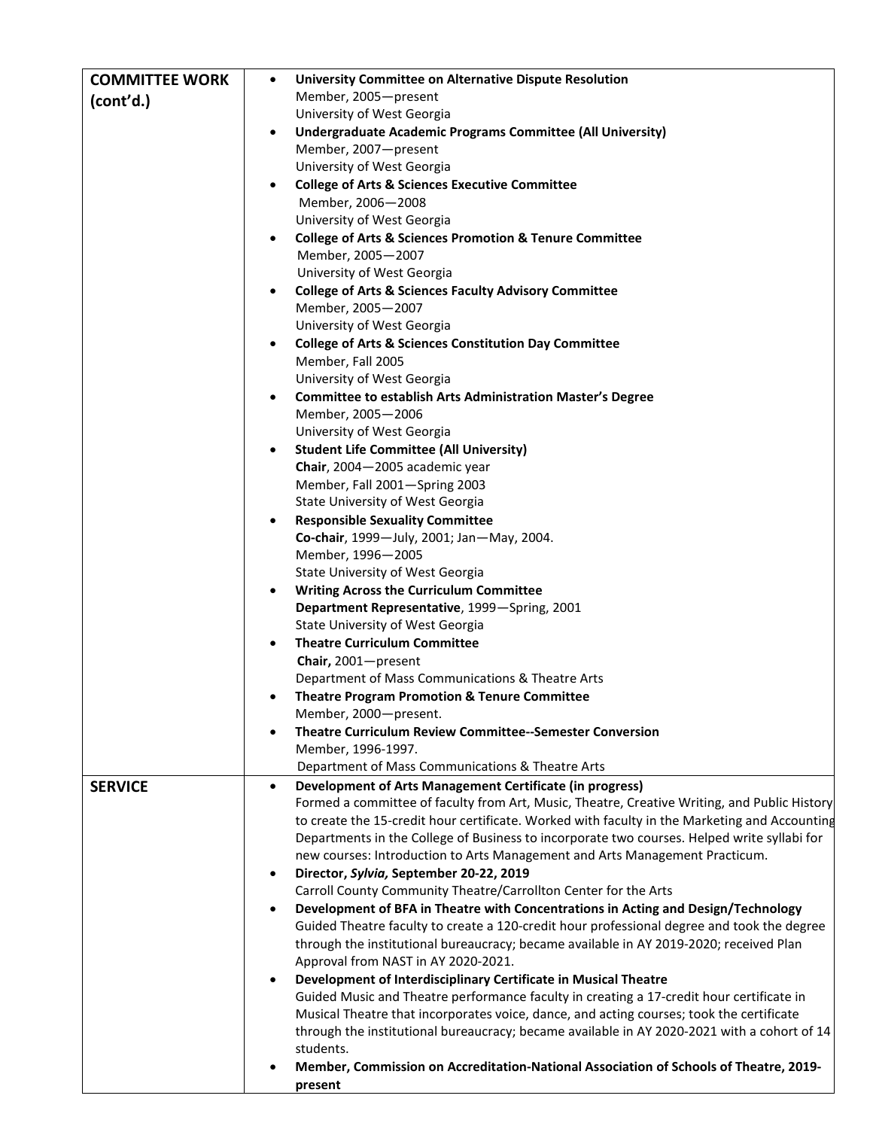| <b>COMMITTEE WORK</b> | University Committee on Alternative Dispute Resolution<br>$\bullet$                                                                                                                           |
|-----------------------|-----------------------------------------------------------------------------------------------------------------------------------------------------------------------------------------------|
| (cont'd.)             | Member, 2005-present                                                                                                                                                                          |
|                       | University of West Georgia                                                                                                                                                                    |
|                       | Undergraduate Academic Programs Committee (All University)<br>$\bullet$                                                                                                                       |
|                       | Member, 2007-present<br>University of West Georgia                                                                                                                                            |
|                       | <b>College of Arts &amp; Sciences Executive Committee</b>                                                                                                                                     |
|                       | Member, 2006-2008                                                                                                                                                                             |
|                       | University of West Georgia                                                                                                                                                                    |
|                       | <b>College of Arts &amp; Sciences Promotion &amp; Tenure Committee</b>                                                                                                                        |
|                       | Member, 2005-2007                                                                                                                                                                             |
|                       | University of West Georgia                                                                                                                                                                    |
|                       | <b>College of Arts &amp; Sciences Faculty Advisory Committee</b><br>$\bullet$                                                                                                                 |
|                       | Member, 2005-2007                                                                                                                                                                             |
|                       | University of West Georgia                                                                                                                                                                    |
|                       | <b>College of Arts &amp; Sciences Constitution Day Committee</b><br>$\bullet$                                                                                                                 |
|                       | Member, Fall 2005                                                                                                                                                                             |
|                       | University of West Georgia                                                                                                                                                                    |
|                       | <b>Committee to establish Arts Administration Master's Degree</b><br>$\bullet$<br>Member, 2005-2006                                                                                           |
|                       | University of West Georgia                                                                                                                                                                    |
|                       | <b>Student Life Committee (All University)</b>                                                                                                                                                |
|                       | Chair, 2004-2005 academic year                                                                                                                                                                |
|                       | Member, Fall 2001-Spring 2003                                                                                                                                                                 |
|                       | State University of West Georgia                                                                                                                                                              |
|                       | <b>Responsible Sexuality Committee</b><br>$\bullet$                                                                                                                                           |
|                       | Co-chair, 1999-July, 2001; Jan-May, 2004.                                                                                                                                                     |
|                       | Member, 1996-2005                                                                                                                                                                             |
|                       | State University of West Georgia                                                                                                                                                              |
|                       | <b>Writing Across the Curriculum Committee</b><br>$\bullet$                                                                                                                                   |
|                       | Department Representative, 1999-Spring, 2001<br>State University of West Georgia                                                                                                              |
|                       | <b>Theatre Curriculum Committee</b><br>$\bullet$                                                                                                                                              |
|                       | Chair, 2001-present                                                                                                                                                                           |
|                       | Department of Mass Communications & Theatre Arts                                                                                                                                              |
|                       | <b>Theatre Program Promotion &amp; Tenure Committee</b><br>$\bullet$                                                                                                                          |
|                       | Member, 2000-present.                                                                                                                                                                         |
|                       | Theatre Curriculum Review Committee--Semester Conversion<br>$\bullet$                                                                                                                         |
|                       | Member, 1996-1997.                                                                                                                                                                            |
|                       | Department of Mass Communications & Theatre Arts                                                                                                                                              |
| <b>SERVICE</b>        | Development of Arts Management Certificate (in progress)<br>$\bullet$                                                                                                                         |
|                       | Formed a committee of faculty from Art, Music, Theatre, Creative Writing, and Public History<br>to create the 15-credit hour certificate. Worked with faculty in the Marketing and Accounting |
|                       | Departments in the College of Business to incorporate two courses. Helped write syllabi for                                                                                                   |
|                       | new courses: Introduction to Arts Management and Arts Management Practicum.                                                                                                                   |
|                       | Director, Sylvia, September 20-22, 2019                                                                                                                                                       |
|                       | Carroll County Community Theatre/Carrollton Center for the Arts                                                                                                                               |
|                       | Development of BFA in Theatre with Concentrations in Acting and Design/Technology<br>$\bullet$                                                                                                |
|                       | Guided Theatre faculty to create a 120-credit hour professional degree and took the degree                                                                                                    |
|                       | through the institutional bureaucracy; became available in AY 2019-2020; received Plan                                                                                                        |
|                       | Approval from NAST in AY 2020-2021.                                                                                                                                                           |
|                       | Development of Interdisciplinary Certificate in Musical Theatre<br>$\bullet$                                                                                                                  |
|                       | Guided Music and Theatre performance faculty in creating a 17-credit hour certificate in<br>Musical Theatre that incorporates voice, dance, and acting courses; took the certificate          |
|                       | through the institutional bureaucracy; became available in AY 2020-2021 with a cohort of 14                                                                                                   |
|                       | students.                                                                                                                                                                                     |
|                       | Member, Commission on Accreditation-National Association of Schools of Theatre, 2019-                                                                                                         |
|                       | present                                                                                                                                                                                       |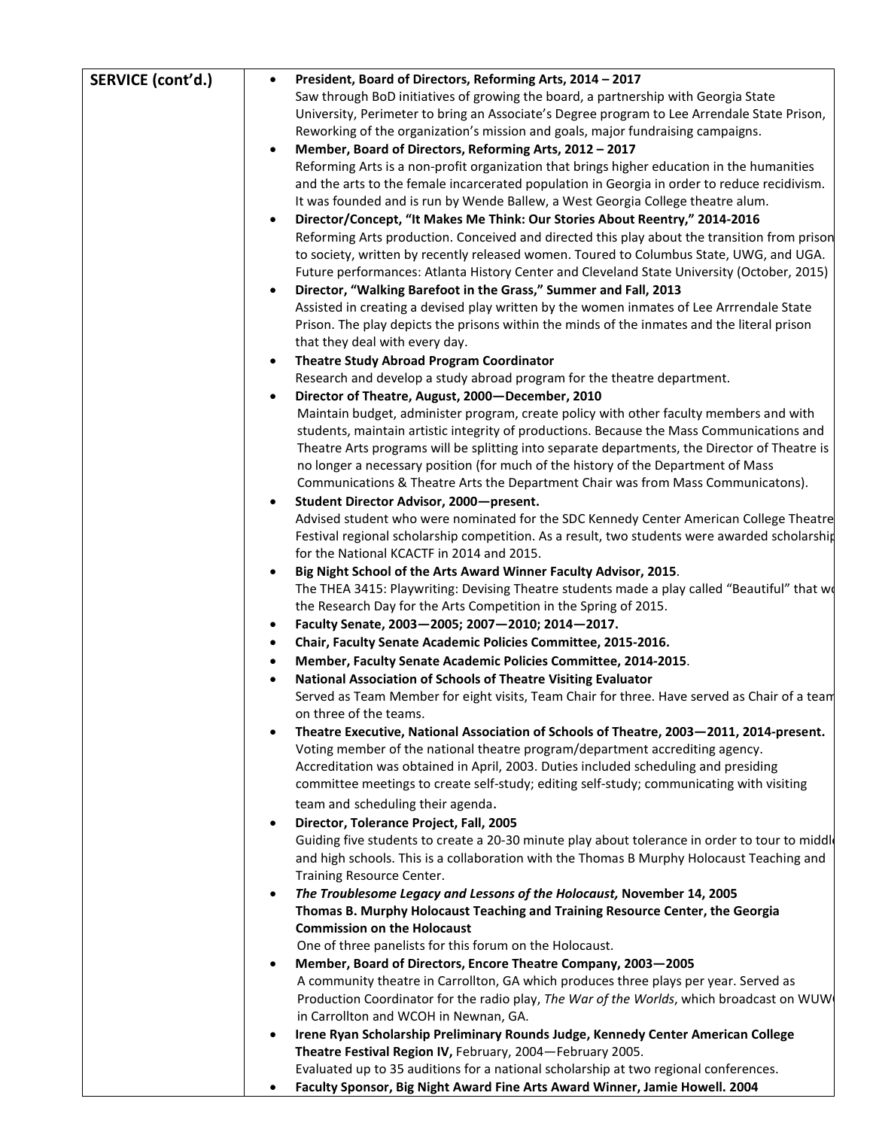| SERVICE (cont'd.) | President, Board of Directors, Reforming Arts, 2014 - 2017<br>$\bullet$                                                                                                                                                                                                                                                                                                                                                                                       |
|-------------------|---------------------------------------------------------------------------------------------------------------------------------------------------------------------------------------------------------------------------------------------------------------------------------------------------------------------------------------------------------------------------------------------------------------------------------------------------------------|
|                   | Saw through BoD initiatives of growing the board, a partnership with Georgia State<br>University, Perimeter to bring an Associate's Degree program to Lee Arrendale State Prison,<br>Reworking of the organization's mission and goals, major fundraising campaigns.<br>Member, Board of Directors, Reforming Arts, 2012 - 2017<br>$\bullet$<br>Reforming Arts is a non-profit organization that brings higher education in the humanities                    |
|                   | and the arts to the female incarcerated population in Georgia in order to reduce recidivism.<br>It was founded and is run by Wende Ballew, a West Georgia College theatre alum.<br>Director/Concept, "It Makes Me Think: Our Stories About Reentry," 2014-2016<br>$\bullet$                                                                                                                                                                                   |
|                   | Reforming Arts production. Conceived and directed this play about the transition from prison<br>to society, written by recently released women. Toured to Columbus State, UWG, and UGA.<br>Future performances: Atlanta History Center and Cleveland State University (October, 2015)                                                                                                                                                                         |
|                   | Director, "Walking Barefoot in the Grass," Summer and Fall, 2013<br>$\bullet$<br>Assisted in creating a devised play written by the women inmates of Lee Arrrendale State<br>Prison. The play depicts the prisons within the minds of the inmates and the literal prison<br>that they deal with every day.                                                                                                                                                    |
|                   | <b>Theatre Study Abroad Program Coordinator</b><br>$\bullet$                                                                                                                                                                                                                                                                                                                                                                                                  |
|                   | Research and develop a study abroad program for the theatre department.                                                                                                                                                                                                                                                                                                                                                                                       |
|                   | Director of Theatre, August, 2000-December, 2010<br>$\bullet$                                                                                                                                                                                                                                                                                                                                                                                                 |
|                   | Maintain budget, administer program, create policy with other faculty members and with<br>students, maintain artistic integrity of productions. Because the Mass Communications and<br>Theatre Arts programs will be splitting into separate departments, the Director of Theatre is<br>no longer a necessary position (for much of the history of the Department of Mass<br>Communications & Theatre Arts the Department Chair was from Mass Communicatons). |
|                   | Student Director Advisor, 2000-present.<br>$\bullet$                                                                                                                                                                                                                                                                                                                                                                                                          |
|                   | Advised student who were nominated for the SDC Kennedy Center American College Theatre<br>Festival regional scholarship competition. As a result, two students were awarded scholarship<br>for the National KCACTF in 2014 and 2015.                                                                                                                                                                                                                          |
|                   | Big Night School of the Arts Award Winner Faculty Advisor, 2015.<br>$\bullet$<br>The THEA 3415: Playwriting: Devising Theatre students made a play called "Beautiful" that wo<br>the Research Day for the Arts Competition in the Spring of 2015.<br>Faculty Senate, 2003-2005; 2007-2010; 2014-2017.<br>$\bullet$                                                                                                                                            |
|                   | Chair, Faculty Senate Academic Policies Committee, 2015-2016.<br>$\bullet$                                                                                                                                                                                                                                                                                                                                                                                    |
|                   | Member, Faculty Senate Academic Policies Committee, 2014-2015.<br>$\bullet$                                                                                                                                                                                                                                                                                                                                                                                   |
|                   | National Association of Schools of Theatre Visiting Evaluator                                                                                                                                                                                                                                                                                                                                                                                                 |
|                   | Served as Team Member for eight visits, Team Chair for three. Have served as Chair of a team<br>on three of the teams.                                                                                                                                                                                                                                                                                                                                        |
|                   | Theatre Executive, National Association of Schools of Theatre, 2003-2011, 2014-present.<br>$\bullet$                                                                                                                                                                                                                                                                                                                                                          |
|                   | Voting member of the national theatre program/department accrediting agency.<br>Accreditation was obtained in April, 2003. Duties included scheduling and presiding                                                                                                                                                                                                                                                                                           |
|                   | committee meetings to create self-study; editing self-study; communicating with visiting                                                                                                                                                                                                                                                                                                                                                                      |
|                   | team and scheduling their agenda.                                                                                                                                                                                                                                                                                                                                                                                                                             |
|                   | Director, Tolerance Project, Fall, 2005<br>$\bullet$<br>Guiding five students to create a 20-30 minute play about tolerance in order to tour to middle<br>and high schools. This is a collaboration with the Thomas B Murphy Holocaust Teaching and<br>Training Resource Center.                                                                                                                                                                              |
|                   | The Troublesome Legacy and Lessons of the Holocaust, November 14, 2005<br>$\bullet$<br>Thomas B. Murphy Holocaust Teaching and Training Resource Center, the Georgia<br><b>Commission on the Holocaust</b>                                                                                                                                                                                                                                                    |
|                   | One of three panelists for this forum on the Holocaust.                                                                                                                                                                                                                                                                                                                                                                                                       |
|                   | Member, Board of Directors, Encore Theatre Company, 2003-2005<br>$\bullet$<br>A community theatre in Carrollton, GA which produces three plays per year. Served as<br>Production Coordinator for the radio play, The War of the Worlds, which broadcast on WUW<br>in Carrollton and WCOH in Newnan, GA.                                                                                                                                                       |
|                   | Irene Ryan Scholarship Preliminary Rounds Judge, Kennedy Center American College<br>$\bullet$<br>Theatre Festival Region IV, February, 2004-February 2005.<br>Evaluated up to 35 auditions for a national scholarship at two regional conferences.                                                                                                                                                                                                            |
|                   | Faculty Sponsor, Big Night Award Fine Arts Award Winner, Jamie Howell. 2004<br>$\bullet$                                                                                                                                                                                                                                                                                                                                                                      |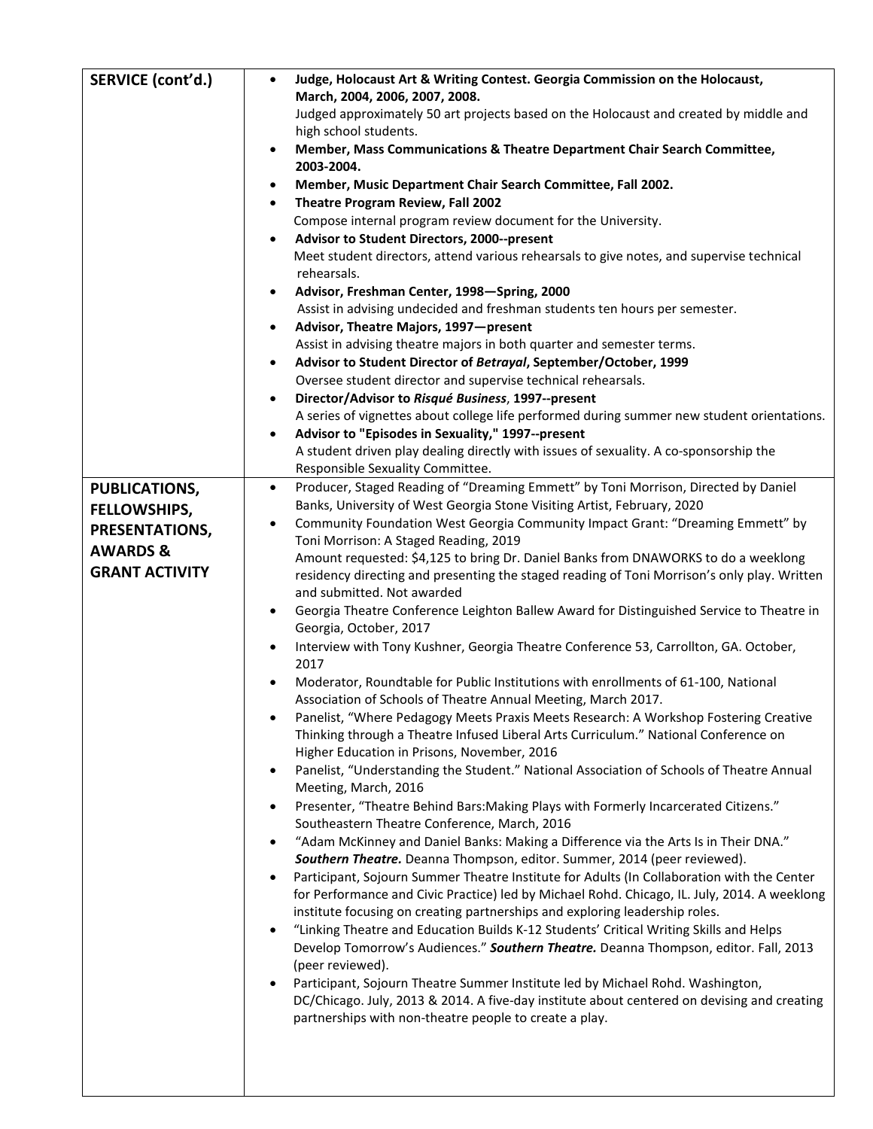| SERVICE (cont'd.)                                                                     | Judge, Holocaust Art & Writing Contest. Georgia Commission on the Holocaust,<br>$\bullet$<br>March, 2004, 2006, 2007, 2008.<br>Judged approximately 50 art projects based on the Holocaust and created by middle and<br>high school students.<br>Member, Mass Communications & Theatre Department Chair Search Committee,<br>$\bullet$<br>2003-2004.<br>Member, Music Department Chair Search Committee, Fall 2002.<br>$\bullet$<br>Theatre Program Review, Fall 2002<br>$\bullet$<br>Compose internal program review document for the University.<br>Advisor to Student Directors, 2000--present<br>Meet student directors, attend various rehearsals to give notes, and supervise technical<br>rehearsals.<br>Advisor, Freshman Center, 1998-Spring, 2000<br>$\bullet$<br>Assist in advising undecided and freshman students ten hours per semester.<br>Advisor, Theatre Majors, 1997-present<br>$\bullet$<br>Assist in advising theatre majors in both quarter and semester terms.<br>Advisor to Student Director of Betrayal, September/October, 1999<br>$\bullet$<br>Oversee student director and supervise technical rehearsals.<br>Director/Advisor to Risqué Business, 1997--present<br>A series of vignettes about college life performed during summer new student orientations.<br>Advisor to "Episodes in Sexuality," 1997--present<br>$\bullet$<br>A student driven play dealing directly with issues of sexuality. A co-sponsorship the<br>Responsible Sexuality Committee.                                                                                                                                                                                                                                                                                                                                                                                                                                                                                                                                                                                                                                                                                                                                                                     |
|---------------------------------------------------------------------------------------|---------------------------------------------------------------------------------------------------------------------------------------------------------------------------------------------------------------------------------------------------------------------------------------------------------------------------------------------------------------------------------------------------------------------------------------------------------------------------------------------------------------------------------------------------------------------------------------------------------------------------------------------------------------------------------------------------------------------------------------------------------------------------------------------------------------------------------------------------------------------------------------------------------------------------------------------------------------------------------------------------------------------------------------------------------------------------------------------------------------------------------------------------------------------------------------------------------------------------------------------------------------------------------------------------------------------------------------------------------------------------------------------------------------------------------------------------------------------------------------------------------------------------------------------------------------------------------------------------------------------------------------------------------------------------------------------------------------------------------------------------------------------------------------------------------------------------------------------------------------------------------------------------------------------------------------------------------------------------------------------------------------------------------------------------------------------------------------------------------------------------------------------------------------------------------------------------------------------------------------------------------------|
| <b>PUBLICATIONS,</b>                                                                  | Producer, Staged Reading of "Dreaming Emmett" by Toni Morrison, Directed by Daniel<br>$\bullet$                                                                                                                                                                                                                                                                                                                                                                                                                                                                                                                                                                                                                                                                                                                                                                                                                                                                                                                                                                                                                                                                                                                                                                                                                                                                                                                                                                                                                                                                                                                                                                                                                                                                                                                                                                                                                                                                                                                                                                                                                                                                                                                                                               |
| <b>FELLOWSHIPS,</b><br>PRESENTATIONS,<br><b>AWARDS &amp;</b><br><b>GRANT ACTIVITY</b> | Banks, University of West Georgia Stone Visiting Artist, February, 2020<br>Community Foundation West Georgia Community Impact Grant: "Dreaming Emmett" by<br>$\bullet$<br>Toni Morrison: A Staged Reading, 2019<br>Amount requested: \$4,125 to bring Dr. Daniel Banks from DNAWORKS to do a weeklong<br>residency directing and presenting the staged reading of Toni Morrison's only play. Written<br>and submitted. Not awarded<br>Georgia Theatre Conference Leighton Ballew Award for Distinguished Service to Theatre in<br>$\bullet$<br>Georgia, October, 2017<br>Interview with Tony Kushner, Georgia Theatre Conference 53, Carrollton, GA. October,<br>2017<br>Moderator, Roundtable for Public Institutions with enrollments of 61-100, National<br>Association of Schools of Theatre Annual Meeting, March 2017.<br>Panelist, "Where Pedagogy Meets Praxis Meets Research: A Workshop Fostering Creative<br>Thinking through a Theatre Infused Liberal Arts Curriculum." National Conference on<br>Higher Education in Prisons, November, 2016<br>Panelist, "Understanding the Student." National Association of Schools of Theatre Annual<br>$\bullet$<br>Meeting, March, 2016<br>Presenter, "Theatre Behind Bars: Making Plays with Formerly Incarcerated Citizens."<br>$\bullet$<br>Southeastern Theatre Conference, March, 2016<br>"Adam McKinney and Daniel Banks: Making a Difference via the Arts Is in Their DNA."<br>$\bullet$<br>Southern Theatre. Deanna Thompson, editor. Summer, 2014 (peer reviewed).<br>Participant, Sojourn Summer Theatre Institute for Adults (In Collaboration with the Center<br>for Performance and Civic Practice) led by Michael Rohd. Chicago, IL. July, 2014. A weeklong<br>institute focusing on creating partnerships and exploring leadership roles.<br>"Linking Theatre and Education Builds K-12 Students' Critical Writing Skills and Helps<br>Develop Tomorrow's Audiences." Southern Theatre. Deanna Thompson, editor. Fall, 2013<br>(peer reviewed).<br>Participant, Sojourn Theatre Summer Institute led by Michael Rohd. Washington,<br>DC/Chicago. July, 2013 & 2014. A five-day institute about centered on devising and creating<br>partnerships with non-theatre people to create a play. |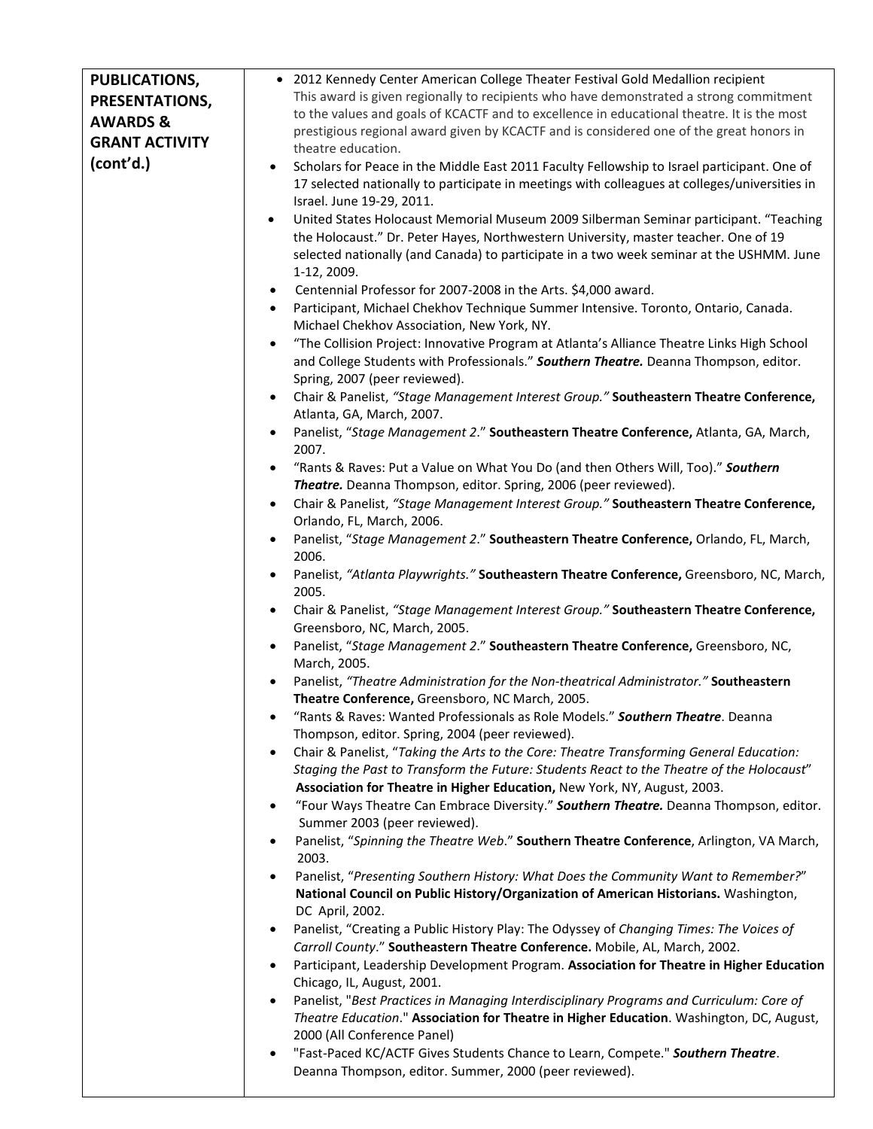| <b>PUBLICATIONS,</b>  | • 2012 Kennedy Center American College Theater Festival Gold Medallion recipient                                                                                                                                                                                                                                                  |
|-----------------------|-----------------------------------------------------------------------------------------------------------------------------------------------------------------------------------------------------------------------------------------------------------------------------------------------------------------------------------|
| PRESENTATIONS,        | This award is given regionally to recipients who have demonstrated a strong commitment                                                                                                                                                                                                                                            |
| <b>AWARDS &amp;</b>   | to the values and goals of KCACTF and to excellence in educational theatre. It is the most                                                                                                                                                                                                                                        |
| <b>GRANT ACTIVITY</b> | prestigious regional award given by KCACTF and is considered one of the great honors in                                                                                                                                                                                                                                           |
| (cont'd.)             | theatre education.<br>Scholars for Peace in the Middle East 2011 Faculty Fellowship to Israel participant. One of<br>$\bullet$<br>17 selected nationally to participate in meetings with colleagues at colleges/universities in                                                                                                   |
|                       | Israel. June 19-29, 2011.<br>United States Holocaust Memorial Museum 2009 Silberman Seminar participant. "Teaching<br>$\bullet$<br>the Holocaust." Dr. Peter Hayes, Northwestern University, master teacher. One of 19<br>selected nationally (and Canada) to participate in a two week seminar at the USHMM. June<br>1-12, 2009. |
|                       | Centennial Professor for 2007-2008 in the Arts. \$4,000 award.<br>$\bullet$                                                                                                                                                                                                                                                       |
|                       | Participant, Michael Chekhov Technique Summer Intensive. Toronto, Ontario, Canada.<br>$\bullet$<br>Michael Chekhov Association, New York, NY.                                                                                                                                                                                     |
|                       | "The Collision Project: Innovative Program at Atlanta's Alliance Theatre Links High School<br>and College Students with Professionals." Southern Theatre. Deanna Thompson, editor.<br>Spring, 2007 (peer reviewed).                                                                                                               |
|                       | Chair & Panelist, "Stage Management Interest Group." Southeastern Theatre Conference,<br>$\bullet$<br>Atlanta, GA, March, 2007.                                                                                                                                                                                                   |
|                       | Panelist, "Stage Management 2." Southeastern Theatre Conference, Atlanta, GA, March,<br>2007.                                                                                                                                                                                                                                     |
|                       | "Rants & Raves: Put a Value on What You Do (and then Others Will, Too)." Southern                                                                                                                                                                                                                                                 |
|                       | Theatre. Deanna Thompson, editor. Spring, 2006 (peer reviewed).                                                                                                                                                                                                                                                                   |
|                       | Chair & Panelist, "Stage Management Interest Group." Southeastern Theatre Conference,<br>$\bullet$<br>Orlando, FL, March, 2006.                                                                                                                                                                                                   |
|                       | Panelist, "Stage Management 2." Southeastern Theatre Conference, Orlando, FL, March,<br>2006.                                                                                                                                                                                                                                     |
|                       | Panelist, "Atlanta Playwrights." Southeastern Theatre Conference, Greensboro, NC, March,<br>2005.                                                                                                                                                                                                                                 |
|                       | Chair & Panelist, "Stage Management Interest Group." Southeastern Theatre Conference,<br>$\bullet$<br>Greensboro, NC, March, 2005.                                                                                                                                                                                                |
|                       | Panelist, "Stage Management 2." Southeastern Theatre Conference, Greensboro, NC,<br>March, 2005.                                                                                                                                                                                                                                  |
|                       | Panelist, "Theatre Administration for the Non-theatrical Administrator." Southeastern<br>$\bullet$<br>Theatre Conference, Greensboro, NC March, 2005.                                                                                                                                                                             |
|                       | "Rants & Raves: Wanted Professionals as Role Models." Southern Theatre. Deanna<br>Thompson, editor. Spring, 2004 (peer reviewed).                                                                                                                                                                                                 |
|                       | Chair & Panelist, "Taking the Arts to the Core: Theatre Transforming General Education:<br>Staging the Past to Transform the Future: Students React to the Theatre of the Holocaust"<br>Association for Theatre in Higher Education, New York, NY, August, 2003.                                                                  |
|                       | "Four Ways Theatre Can Embrace Diversity." Southern Theatre. Deanna Thompson, editor.<br>Summer 2003 (peer reviewed).                                                                                                                                                                                                             |
|                       | Panelist, "Spinning the Theatre Web." Southern Theatre Conference, Arlington, VA March,<br>2003.                                                                                                                                                                                                                                  |
|                       | Panelist, "Presenting Southern History: What Does the Community Want to Remember?"<br>National Council on Public History/Organization of American Historians. Washington,<br>DC April, 2002.                                                                                                                                      |
|                       | Panelist, "Creating a Public History Play: The Odyssey of Changing Times: The Voices of<br>Carroll County." Southeastern Theatre Conference. Mobile, AL, March, 2002.                                                                                                                                                             |
|                       | Participant, Leadership Development Program. Association for Theatre in Higher Education<br>$\bullet$<br>Chicago, IL, August, 2001.                                                                                                                                                                                               |
|                       | Panelist, "Best Practices in Managing Interdisciplinary Programs and Curriculum: Core of<br>Theatre Education." Association for Theatre in Higher Education. Washington, DC, August,<br>2000 (All Conference Panel)                                                                                                               |
|                       | "Fast-Paced KC/ACTF Gives Students Chance to Learn, Compete." Southern Theatre.<br>Deanna Thompson, editor. Summer, 2000 (peer reviewed).                                                                                                                                                                                         |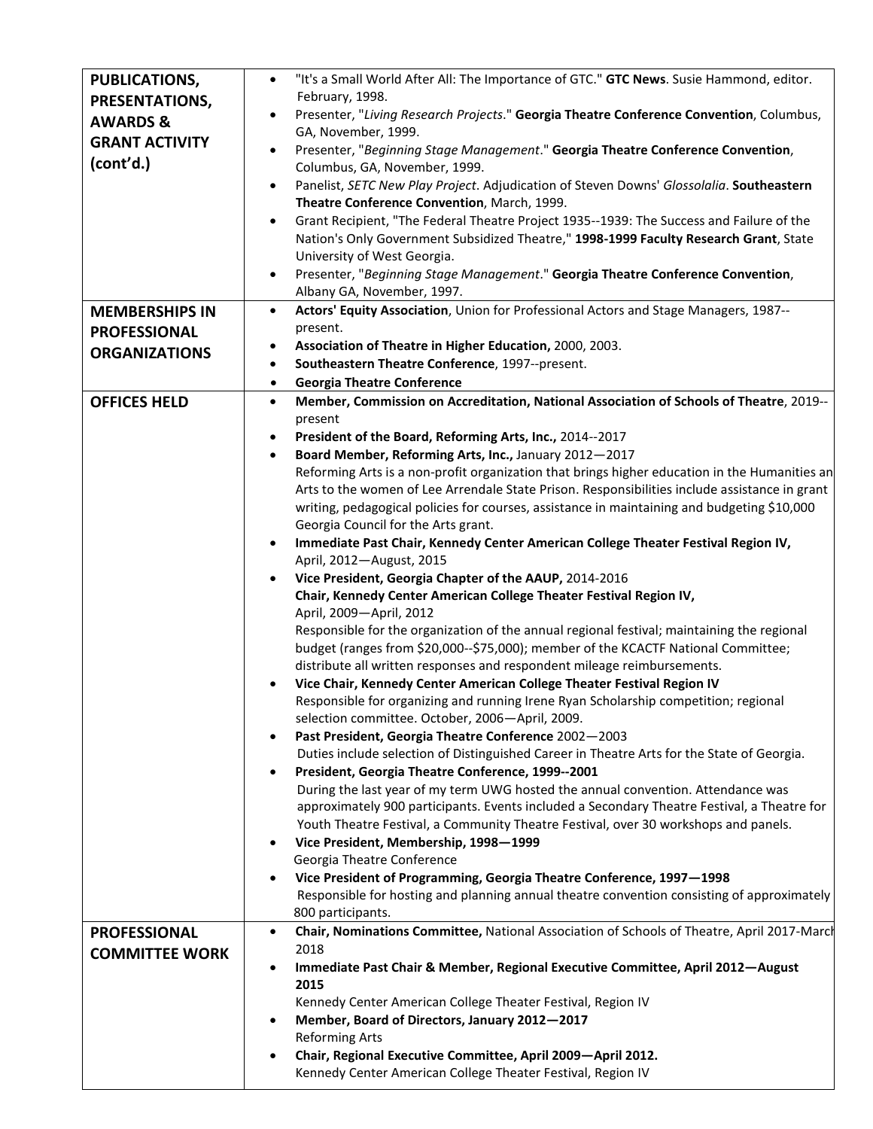| <b>PUBLICATIONS,</b>  | "It's a Small World After All: The Importance of GTC." GTC News. Susie Hammond, editor.<br>$\bullet$                                                          |
|-----------------------|---------------------------------------------------------------------------------------------------------------------------------------------------------------|
| PRESENTATIONS,        | February, 1998.                                                                                                                                               |
| <b>AWARDS &amp;</b>   | Presenter, "Living Research Projects." Georgia Theatre Conference Convention, Columbus,<br>GA, November, 1999.                                                |
| <b>GRANT ACTIVITY</b> | Presenter, "Beginning Stage Management." Georgia Theatre Conference Convention,                                                                               |
| (cont'd.)             | Columbus, GA, November, 1999.                                                                                                                                 |
|                       | Panelist, SETC New Play Project. Adjudication of Steven Downs' Glossolalia. Southeastern<br>$\bullet$                                                         |
|                       | Theatre Conference Convention, March, 1999.                                                                                                                   |
|                       | Grant Recipient, "The Federal Theatre Project 1935--1939: The Success and Failure of the                                                                      |
|                       | Nation's Only Government Subsidized Theatre," 1998-1999 Faculty Research Grant, State                                                                         |
|                       | University of West Georgia.<br>Presenter, "Beginning Stage Management." Georgia Theatre Conference Convention,<br>٠                                           |
|                       | Albany GA, November, 1997.                                                                                                                                    |
| <b>MEMBERSHIPS IN</b> | Actors' Equity Association, Union for Professional Actors and Stage Managers, 1987--<br>$\bullet$                                                             |
| <b>PROFESSIONAL</b>   | present.                                                                                                                                                      |
| <b>ORGANIZATIONS</b>  | Association of Theatre in Higher Education, 2000, 2003.<br>٠                                                                                                  |
|                       | Southeastern Theatre Conference, 1997--present.<br>$\bullet$                                                                                                  |
|                       | <b>Georgia Theatre Conference</b><br>$\bullet$                                                                                                                |
| <b>OFFICES HELD</b>   | Member, Commission on Accreditation, National Association of Schools of Theatre, 2019--<br>$\bullet$                                                          |
|                       | present                                                                                                                                                       |
|                       | President of the Board, Reforming Arts, Inc., 2014--2017<br>$\bullet$<br>Board Member, Reforming Arts, Inc., January 2012-2017                                |
|                       | Reforming Arts is a non-profit organization that brings higher education in the Humanities an                                                                 |
|                       | Arts to the women of Lee Arrendale State Prison. Responsibilities include assistance in grant                                                                 |
|                       | writing, pedagogical policies for courses, assistance in maintaining and budgeting \$10,000                                                                   |
|                       | Georgia Council for the Arts grant.                                                                                                                           |
|                       | Immediate Past Chair, Kennedy Center American College Theater Festival Region IV,<br>$\bullet$<br>April, 2012-August, 2015                                    |
|                       | Vice President, Georgia Chapter of the AAUP, 2014-2016<br>$\bullet$                                                                                           |
|                       | Chair, Kennedy Center American College Theater Festival Region IV,                                                                                            |
|                       | April, 2009-April, 2012                                                                                                                                       |
|                       | Responsible for the organization of the annual regional festival; maintaining the regional                                                                    |
|                       | budget (ranges from \$20,000--\$75,000); member of the KCACTF National Committee;                                                                             |
|                       | distribute all written responses and respondent mileage reimbursements.                                                                                       |
|                       | Vice Chair, Kennedy Center American College Theater Festival Region IV<br>Responsible for organizing and running Irene Ryan Scholarship competition; regional |
|                       | selection committee. October, 2006-April, 2009.                                                                                                               |
|                       | Past President, Georgia Theatre Conference 2002-2003<br>٠                                                                                                     |
|                       | Duties include selection of Distinguished Career in Theatre Arts for the State of Georgia.                                                                    |
|                       | President, Georgia Theatre Conference, 1999--2001                                                                                                             |
|                       | During the last year of my term UWG hosted the annual convention. Attendance was                                                                              |
|                       | approximately 900 participants. Events included a Secondary Theatre Festival, a Theatre for                                                                   |
|                       | Youth Theatre Festival, a Community Theatre Festival, over 30 workshops and panels.<br>Vice President, Membership, 1998-1999<br>٠                             |
|                       | Georgia Theatre Conference                                                                                                                                    |
|                       | Vice President of Programming, Georgia Theatre Conference, 1997-1998                                                                                          |
|                       | Responsible for hosting and planning annual theatre convention consisting of approximately                                                                    |
|                       | 800 participants.                                                                                                                                             |
| <b>PROFESSIONAL</b>   | Chair, Nominations Committee, National Association of Schools of Theatre, April 2017-March<br>٠                                                               |
| <b>COMMITTEE WORK</b> | 2018                                                                                                                                                          |
|                       | Immediate Past Chair & Member, Regional Executive Committee, April 2012-August<br>٠<br>2015                                                                   |
|                       | Kennedy Center American College Theater Festival, Region IV                                                                                                   |
|                       | Member, Board of Directors, January 2012-2017                                                                                                                 |
|                       | <b>Reforming Arts</b>                                                                                                                                         |
|                       | Chair, Regional Executive Committee, April 2009-April 2012.                                                                                                   |
|                       | Kennedy Center American College Theater Festival, Region IV                                                                                                   |